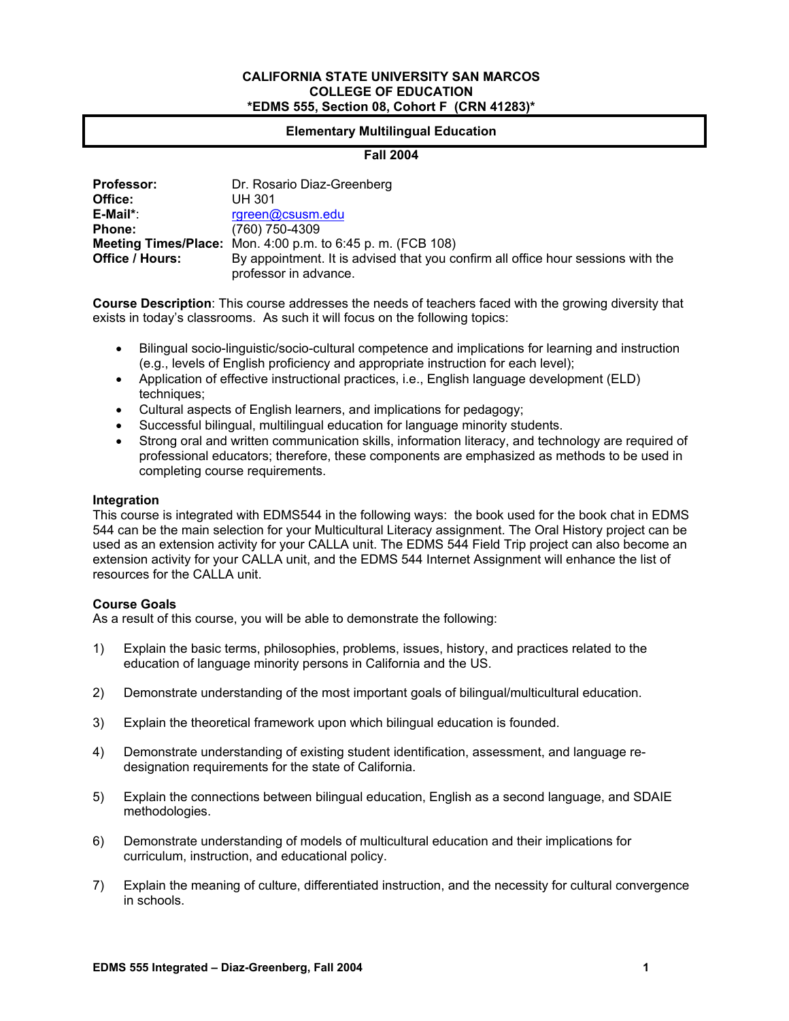### **CALIFORNIA STATE UNIVERSITY SAN MARCOS COLLEGE OF EDUCATION \*EDMS 555, Section 08, Cohort F (CRN 41283)\***

### **Elementary Multilingual Education**

### **Fall 2004**

| <b>Professor:</b> | Dr. Rosario Diaz-Greenberg                                                                                |
|-------------------|-----------------------------------------------------------------------------------------------------------|
| Office:           | UH 301                                                                                                    |
| E-Mail*:          | rgreen@csusm.edu                                                                                          |
| <b>Phone:</b>     | (760) 750-4309                                                                                            |
|                   | Meeting Times/Place: Mon. 4:00 p.m. to 6:45 p.m. (FCB 108)                                                |
| Office / Hours:   | By appointment. It is advised that you confirm all office hour sessions with the<br>professor in advance. |

**Course Description**: This course addresses the needs of teachers faced with the growing diversity that exists in today's classrooms. As such it will focus on the following topics:

- Bilingual socio-linguistic/socio-cultural competence and implications for learning and instruction (e.g., levels of English proficiency and appropriate instruction for each level);
- Application of effective instructional practices, i.e., English language development (ELD) techniques:
- Cultural aspects of English learners, and implications for pedagogy;
- Successful bilingual, multilingual education for language minority students.
- Strong oral and written communication skills, information literacy, and technology are required of professional educators; therefore, these components are emphasized as methods to be used in completing course requirements.

### **Integration**

This course is integrated with EDMS544 in the following ways: the book used for the book chat in EDMS 544 can be the main selection for your Multicultural Literacy assignment. The Oral History project can be used as an extension activity for your CALLA unit. The EDMS 544 Field Trip project can also become an extension activity for your CALLA unit, and the EDMS 544 Internet Assignment will enhance the list of resources for the CALLA unit.

### **Course Goals**

As a result of this course, you will be able to demonstrate the following:

- 1) Explain the basic terms, philosophies, problems, issues, history, and practices related to the education of language minority persons in California and the US.
- 2) Demonstrate understanding of the most important goals of bilingual/multicultural education.
- 3) Explain the theoretical framework upon which bilingual education is founded.
- 4) Demonstrate understanding of existing student identification, assessment, and language redesignation requirements for the state of California.
- 5) Explain the connections between bilingual education, English as a second language, and SDAIE methodologies.
- 6) Demonstrate understanding of models of multicultural education and their implications for curriculum, instruction, and educational policy.
- 7) Explain the meaning of culture, differentiated instruction, and the necessity for cultural convergence in schools.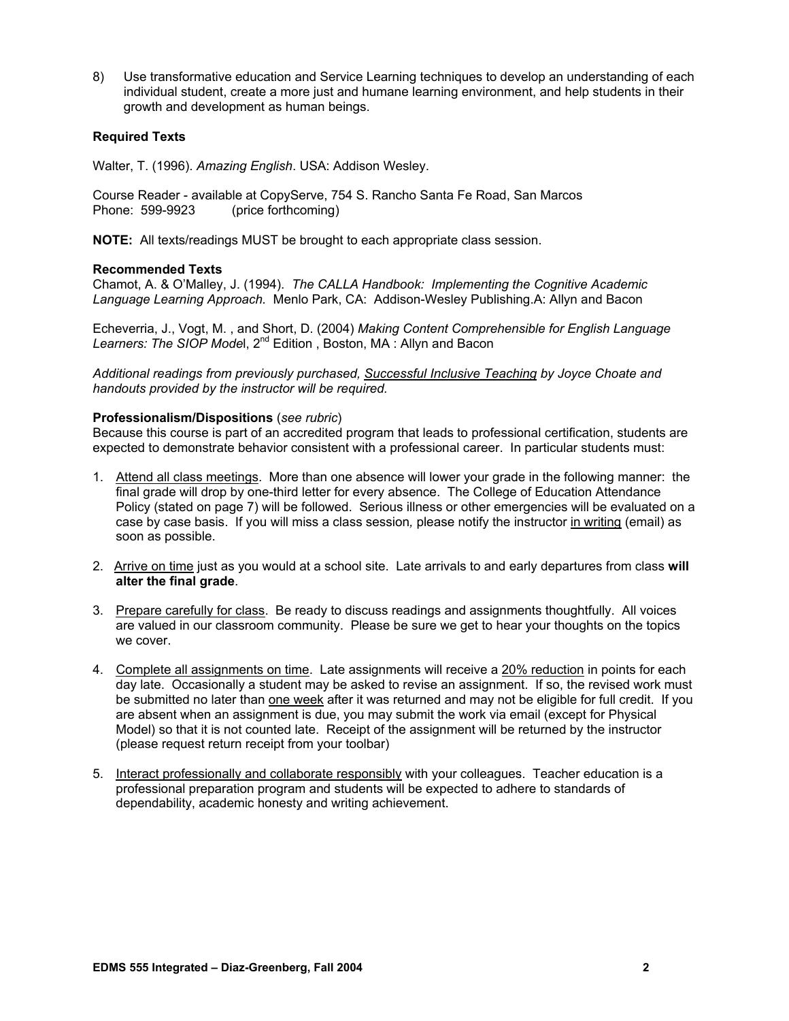8) Use transformative education and Service Learning techniques to develop an understanding of each individual student, create a more just and humane learning environment, and help students in their growth and development as human beings.

### **Required Texts**

Walter, T. (1996). *Amazing English*. USA: Addison Wesley.

Course Reader - available at CopyServe, 754 S. Rancho Santa Fe Road, San Marcos Phone: 599-9923 (price forthcoming)

**NOTE:** All texts/readings MUST be brought to each appropriate class session.

### **Recommended Texts**

Chamot, A. & O'Malley, J. (1994). *The CALLA Handbook: Implementing the Cognitive Academic Language Learning Approach.* Menlo Park, CA: Addison-Wesley Publishing.A: Allyn and Bacon

Echeverria, J., Vogt, M. , and Short, D. (2004) *Making Content Comprehensible for English Language Learners: The SIOP Mode*l, 2nd Edition , Boston, MA : Allyn and Bacon

*Additional readings from previously purchased, Successful Inclusive Teaching by Joyce Choate and handouts provided by the instructor will be required.* 

### **Professionalism/Dispositions** (*see rubric*)

Because this course is part of an accredited program that leads to professional certification, students are expected to demonstrate behavior consistent with a professional career. In particular students must:

- 1. Attend all class meetings. More than one absence will lower your grade in the following manner: the final grade will drop by one-third letter for every absence. The College of Education Attendance Policy (stated on page 7) will be followed. Serious illness or other emergencies will be evaluated on a case by case basis. If you will miss a class session*,* please notify the instructor in writing (email) as soon as possible.
- 2. Arrive on time just as you would at a school site. Late arrivals to and early departures from class **will alter the final grade**.
- 3. Prepare carefully for class. Be ready to discuss readings and assignments thoughtfully. All voices are valued in our classroom community. Please be sure we get to hear your thoughts on the topics we cover.
- 4. Complete all assignments on time. Late assignments will receive a 20% reduction in points for each day late. Occasionally a student may be asked to revise an assignment. If so, the revised work must be submitted no later than one week after it was returned and may not be eligible for full credit. If you are absent when an assignment is due, you may submit the work via email (except for Physical Model) so that it is not counted late. Receipt of the assignment will be returned by the instructor (please request return receipt from your toolbar)
- 5. Interact professionally and collaborate responsibly with your colleagues. Teacher education is a professional preparation program and students will be expected to adhere to standards of dependability, academic honesty and writing achievement.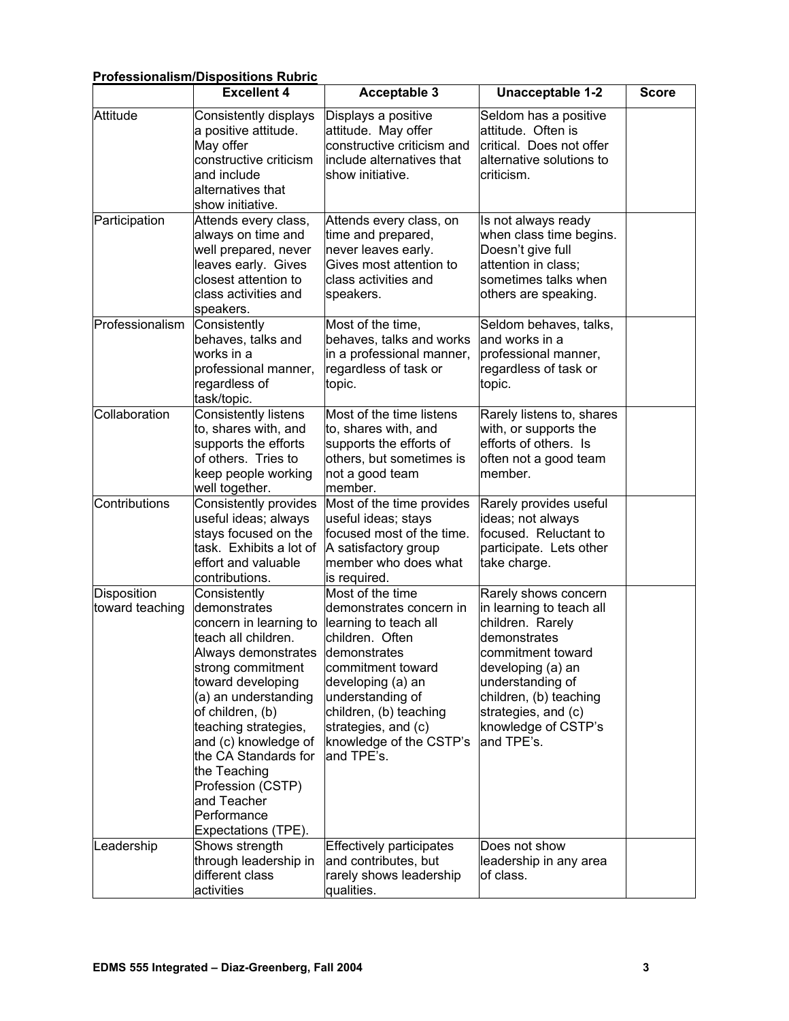| <b>Professionalism/Dispositions Rubric</b> |                                                                                                                                                                                                                                                                                                                                                              |                                                                                                                                                                                                                                                                 |                                                                                                                                                                                                                                          |              |  |
|--------------------------------------------|--------------------------------------------------------------------------------------------------------------------------------------------------------------------------------------------------------------------------------------------------------------------------------------------------------------------------------------------------------------|-----------------------------------------------------------------------------------------------------------------------------------------------------------------------------------------------------------------------------------------------------------------|------------------------------------------------------------------------------------------------------------------------------------------------------------------------------------------------------------------------------------------|--------------|--|
|                                            | <b>Excellent 4</b>                                                                                                                                                                                                                                                                                                                                           | <b>Acceptable 3</b>                                                                                                                                                                                                                                             | Unacceptable 1-2                                                                                                                                                                                                                         | <b>Score</b> |  |
| Attitude                                   | Consistently displays<br>a positive attitude.<br>May offer<br>constructive criticism<br>and include<br>alternatives that<br>show initiative.                                                                                                                                                                                                                 | Displays a positive<br>attitude. May offer<br>constructive criticism and<br>include alternatives that<br>show initiative.                                                                                                                                       | Seldom has a positive<br>attitude. Often is<br>critical. Does not offer<br>alternative solutions to<br>criticism.                                                                                                                        |              |  |
| Participation                              | Attends every class,<br>always on time and<br>well prepared, never<br>leaves early. Gives<br>closest attention to<br>class activities and<br>speakers.                                                                                                                                                                                                       | Attends every class, on<br>time and prepared,<br>never leaves early.<br>Gives most attention to<br>class activities and<br>speakers.                                                                                                                            | Is not always ready<br>when class time begins.<br>Doesn't give full<br>attention in class;<br>sometimes talks when<br>others are speaking.                                                                                               |              |  |
| Professionalism                            | Consistently<br>behaves, talks and<br>works in a<br>professional manner,<br>regardless of<br>task/topic.                                                                                                                                                                                                                                                     | Most of the time,<br>behaves, talks and works<br>in a professional manner,<br>regardless of task or<br>topic.                                                                                                                                                   | Seldom behaves, talks,<br>and works in a<br>professional manner,<br>regardless of task or<br>topic.                                                                                                                                      |              |  |
| Collaboration                              | Consistently listens<br>to, shares with, and<br>supports the efforts<br>of others. Tries to<br>keep people working<br>well together.                                                                                                                                                                                                                         | Most of the time listens<br>to, shares with, and<br>supports the efforts of<br>others, but sometimes is<br>not a good team<br>member.                                                                                                                           | Rarely listens to, shares<br>with, or supports the<br>efforts of others. Is<br>often not a good team<br>lmember.                                                                                                                         |              |  |
| Contributions                              | Consistently provides<br>useful ideas; always<br>stays focused on the<br>task. Exhibits a lot of<br>effort and valuable<br>contributions.                                                                                                                                                                                                                    | Most of the time provides<br>useful ideas; stays<br>focused most of the time.<br>A satisfactory group<br>member who does what<br>is required.                                                                                                                   | Rarely provides useful<br>ideas; not always<br>focused. Reluctant to<br>participate. Lets other<br>take charge.                                                                                                                          |              |  |
| <b>Disposition</b><br>toward teaching      | Consistently<br>demonstrates<br>concern in learning to<br>teach all children.<br>Always demonstrates<br>strong commitment<br>toward developing<br>(a) an understanding<br>of children, (b)<br>teaching strategies,<br>and (c) knowledge of<br>the CA Standards for<br>the Teaching<br>Profession (CSTP)<br>and Teacher<br>Performance<br>Expectations (TPE). | Most of the time<br>demonstrates concern in<br>learning to teach all<br>children. Often<br>demonstrates<br>commitment toward<br>developing (a) an<br>understanding of<br>children, (b) teaching<br>strategies, and (c)<br>knowledge of the CSTP's<br>and TPE's. | Rarely shows concern<br>in learning to teach all<br>children. Rarely<br>demonstrates<br>commitment toward<br>developing (a) an<br>understanding of<br>children, (b) teaching<br>strategies, and (c)<br>knowledge of CSTP's<br>and TPE's. |              |  |
| Leadership                                 | Shows strength<br>through leadership in<br>different class<br>activities                                                                                                                                                                                                                                                                                     | <b>Effectively participates</b><br>and contributes, but<br>rarely shows leadership<br>qualities.                                                                                                                                                                | Does not show<br>leadership in any area<br>of class.                                                                                                                                                                                     |              |  |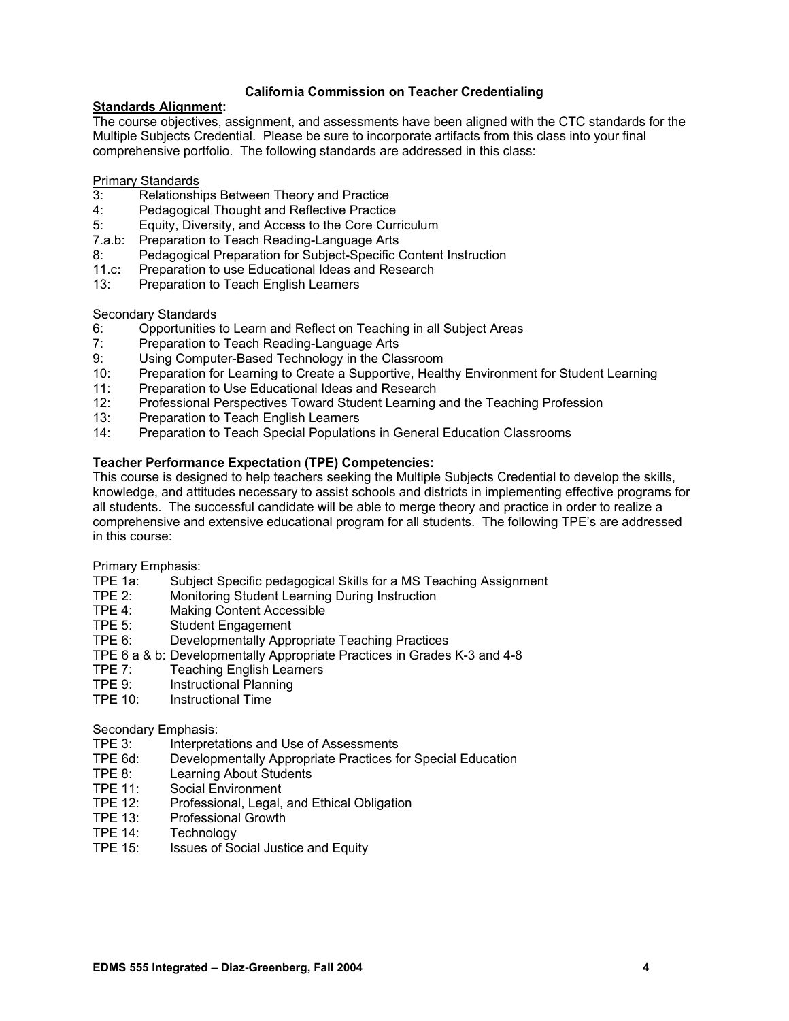### **California Commission on Teacher Credentialing**

### **Standards Alignment:**

The course objectives, assignment, and assessments have been aligned with the CTC standards for the Multiple Subjects Credential. Please be sure to incorporate artifacts from this class into your final comprehensive portfolio. The following standards are addressed in this class:

Primary Standards

- 3: Relationships Between Theory and Practice
- Pedagogical Thought and Reflective Practice
- 5: Equity, Diversity, and Access to the Core Curriculum
- 7.a.b:Preparation to Teach Reading-Language Arts
- 8: Pedagogical Preparation for Subject-Specific Content Instruction
- 11.c**:** Preparation to use Educational Ideas and Research
- 13:Preparation to Teach English Learners

Secondary Standards

- 6: Opportunities to Learn and Reflect on Teaching in all Subject Areas
- 7: Preparation to Teach Reading-Language Arts
- 9: Using Computer-Based Technology in the Classroom
- 10: Preparation for Learning to Create a Supportive, Healthy Environment for Student Learning
- 11: Preparation to Use Educational Ideas and Research
- 12: Professional Perspectives Toward Student Learning and the Teaching Profession
- 13: Preparation to Teach English Learners
- 14: Preparation to Teach Special Populations in General Education Classrooms

### **Teacher Performance Expectation (TPE) Competencies:**

This course is designed to help teachers seeking the Multiple Subjects Credential to develop the skills, knowledge, and attitudes necessary to assist schools and districts in implementing effective programs for all students. The successful candidate will be able to merge theory and practice in order to realize a comprehensive and extensive educational program for all students. The following TPE's are addressed in this course:

Primary Emphasis:

- TPE 1a: Subject Specific pedagogical Skills for a MS Teaching Assignment
- TPE 2: Monitoring Student Learning During Instruction
- TPE 4: Making Content Accessible
- TPE 5: Student Engagement
- TPE 6: Developmentally Appropriate Teaching Practices
- TPE 6 a & b: Developmentally Appropriate Practices in Grades K-3 and 4-8
- TPE 7: Teaching English Learners
- TPE 9: Instructional Planning
- TPE 10: Instructional Time

# Secondary Emphasis:<br>TPE 3: Interpreta

- Interpretations and Use of Assessments
- TPE 6d: Developmentally Appropriate Practices for Special Education
- TPE 8: Learning About Students<br>TPE 11: Social Environment
- Social Environment
- TPE 12: Professional, Legal, and Ethical Obligation
- TPE 13: Professional Growth
- TPE 14: Technology
- TPE 15: Issues of Social Justice and Equity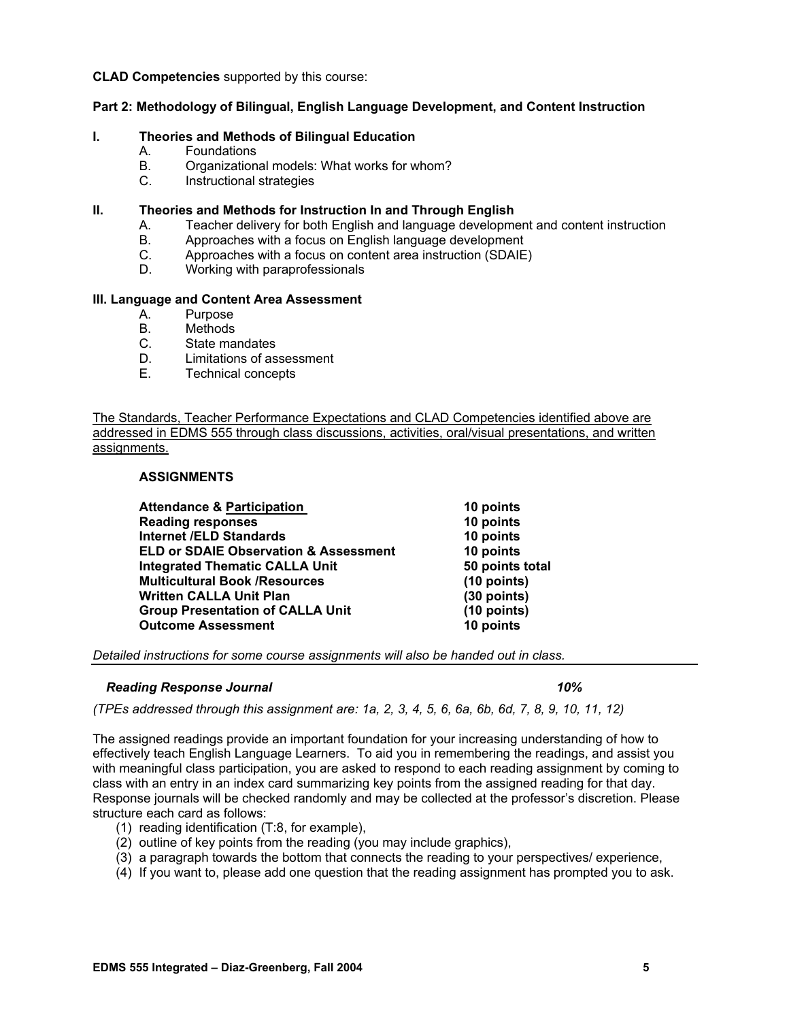*Reading Response Journal* 10% *10% (TPEs addressed through this assignment are: 1a, 2, 3, 4, 5, 6, 6a, 6b, 6d, 7, 8, 9, 10, 11, 12)* 

*Detailed instructions for some course assignments will also be handed out in class.* 

The assigned readings provide an important foundation for your increasing understanding of how to effectively teach English Language Learners. To aid you in remembering the readings, and assist you with meaningful class participation, you are asked to respond to each reading assignment by coming to class with an entry in an index card summarizing key points from the assigned reading for that day. Response journals will be checked randomly and may be collected at the professor's discretion. Please

- structure each card as follows: (1) reading identification (T:8, for example),
	- (2) outline of key points from the reading (you may include graphics),
	- (3) a paragraph towards the bottom that connects the reading to your perspectives/ experience,
	- (4) If you want to, please add one question that the reading assignment has prompted you to ask.

# **CLAD Competencies** supported by this course:

# **Part 2: Methodology of Bilingual, English Language Development, and Content Instruction**

# **I. Theories and Methods of Bilingual Education**

- A. Foundations
- B. Organizational models: What works for whom?
- C. Instructional strategies

# **II. Theories and Methods for Instruction In and Through English**

- A. Teacher delivery for both English and language development and content instruction
- B. Approaches with a focus on English language development<br>C. Approaches with a focus on content area instruction (SDAIE
- Approaches with a focus on content area instruction (SDAIE)
- D. Working with paraprofessionals

# **III. Language and Content Area Assessment**

- A. Purpose
- B. Methods
- C. State mandates
- D. Limitations of assessment<br>E. Technical concents
- Technical concepts

The Standards, Teacher Performance Expectations and CLAD Competencies identified above are addressed in EDMS 555 through class discussions, activities, oral/visual presentations, and written assignments.

# **ASSIGNMENTS**

| <b>Attendance &amp; Participation</b>            | 10 points       |
|--------------------------------------------------|-----------------|
| <b>Reading responses</b>                         | 10 points       |
| <b>Internet /ELD Standards</b>                   | 10 points       |
| <b>ELD or SDAIE Observation &amp; Assessment</b> | 10 points       |
| <b>Integrated Thematic CALLA Unit</b>            | 50 points total |
| <b>Multicultural Book /Resources</b>             | (10 points)     |
| <b>Written CALLA Unit Plan</b>                   | (30 points)     |
| <b>Group Presentation of CALLA Unit</b>          | $(10$ points)   |
| <b>Outcome Assessment</b>                        | 10 points       |
|                                                  |                 |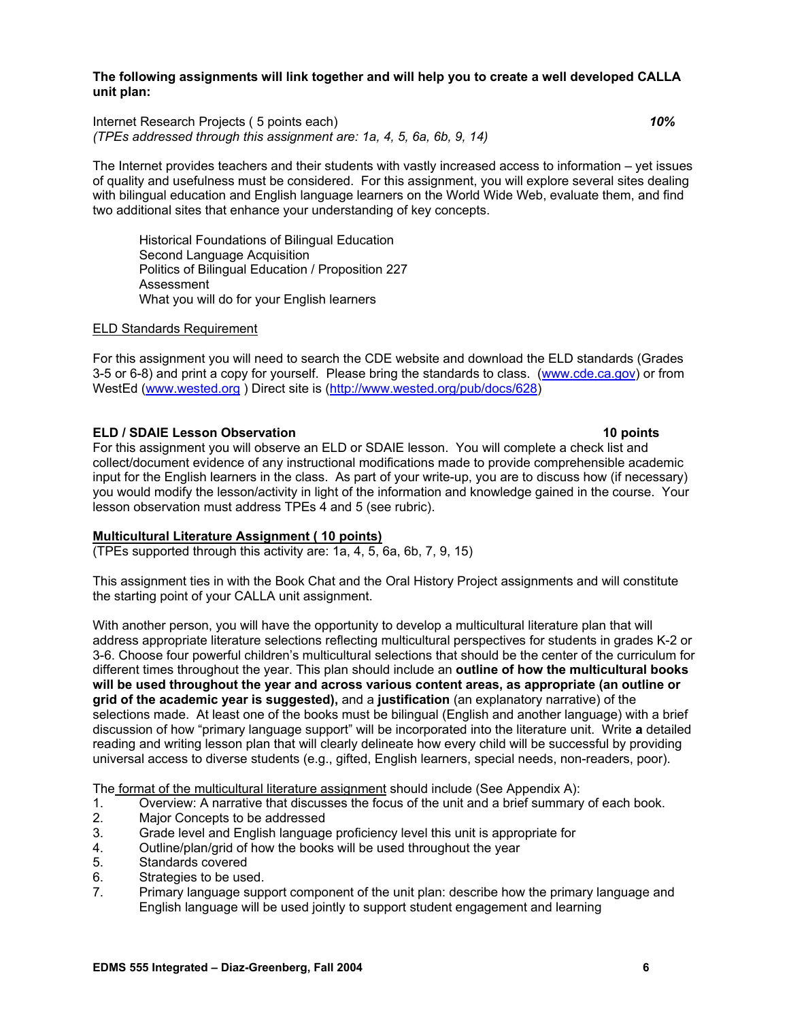**The following assignments will link together and will help you to create a well developed CALLA unit plan:** 

Internet Research Projects ( 5 points each) *10% (TPEs addressed through this assignment are: 1a, 4, 5, 6a, 6b, 9, 14)* 

The Internet provides teachers and their students with vastly increased access to information – yet issues of quality and usefulness must be considered. For this assignment, you will explore several sites dealing with bilingual education and English language learners on the World Wide Web, evaluate them, and find two additional sites that enhance your understanding of key concepts.

Historical Foundations of Bilingual Education Second Language Acquisition Politics of Bilingual Education / Proposition 227 Assessment What you will do for your English learners

### ELD Standards Requirement

For this assignment you will need to search the CDE website and download the ELD standards (Grades 3-5 or 6-8) and print a copy for yourself. Please bring the standards to class. (www.cde.ca.gov) or from WestEd (www.wested.org ) Direct site is (http://www.wested.org/pub/docs/628)

### **ELD / SDAIE Lesson Observation 10 points**

### For this assignment you will observe an ELD or SDAIE lesson. You will complete a check list and collect/document evidence of any instructional modifications made to provide comprehensible academic input for the English learners in the class. As part of your write-up, you are to discuss how (if necessary) you would modify the lesson/activity in light of the information and knowledge gained in the course. Your lesson observation must address TPEs 4 and 5 (see rubric).

### **Multicultural Literature Assignment ( 10 points)**

(TPEs supported through this activity are: 1a, 4, 5, 6a, 6b, 7, 9, 15)

This assignment ties in with the Book Chat and the Oral History Project assignments and will constitute the starting point of your CALLA unit assignment.

With another person, you will have the opportunity to develop a multicultural literature plan that will address appropriate literature selections reflecting multicultural perspectives for students in grades K-2 or 3-6. Choose four powerful children's multicultural selections that should be the center of the curriculum for different times throughout the year. This plan should include an **outline of how the multicultural books will be used throughout the year and across various content areas, as appropriate (an outline or grid of the academic year is suggested),** and a **justification** (an explanatory narrative) of the selections made. At least one of the books must be bilingual (English and another language) with a brief discussion of how "primary language support" will be incorporated into the literature unit. Write **a** detailed reading and writing lesson plan that will clearly delineate how every child will be successful by providing universal access to diverse students (e.g., gifted, English learners, special needs, non-readers, poor).

The format of the multicultural literature assignment should include (See Appendix A):

- 1. Overview: A narrative that discusses the focus of the unit and a brief summary of each book.
- 2. Major Concepts to be addressed
- 3. Grade level and English language proficiency level this unit is appropriate for
- 4. Outline/plan/grid of how the books will be used throughout the year
- 5. Standards covered
- 6. Strategies to be used.
- 7. Primary language support component of the unit plan: describe how the primary language and English language will be used jointly to support student engagement and learning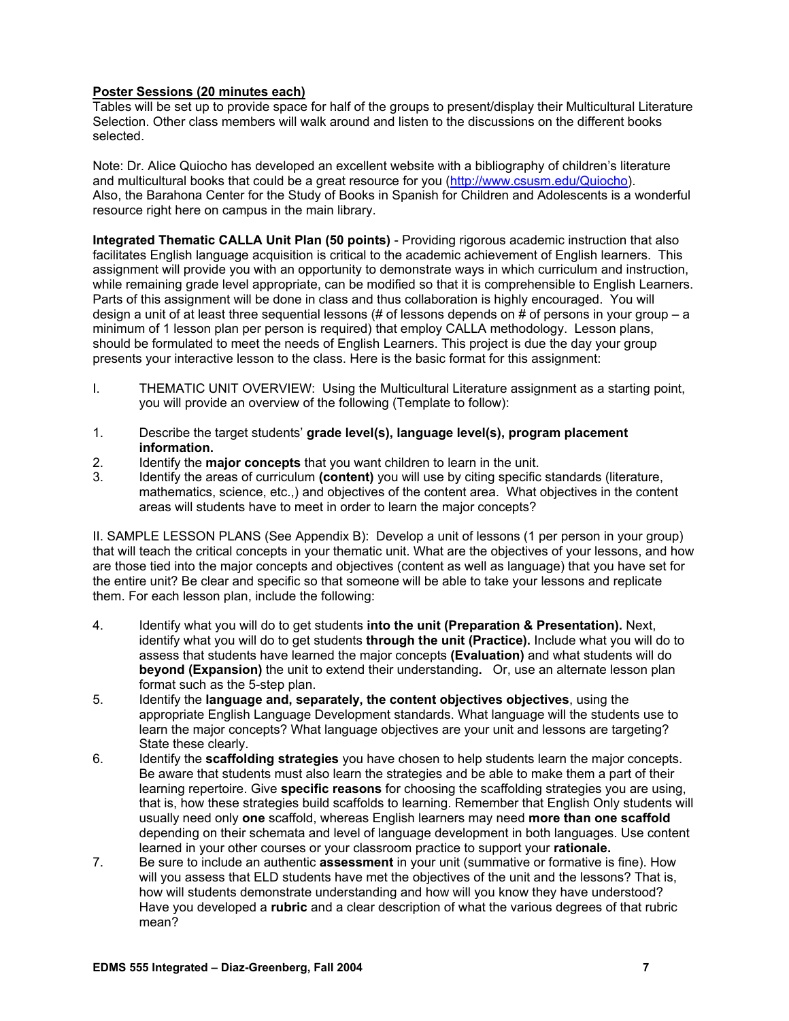### **Poster Sessions (20 minutes each)**

Tables will be set up to provide space for half of the groups to present/display their Multicultural Literature Selection. Other class members will walk around and listen to the discussions on the different books selected.

Note: Dr. Alice Quiocho has developed an excellent website with a bibliography of children's literature and multicultural books that could be a great resource for you (http://www.csusm.edu/Quiocho). Also, the Barahona Center for the Study of Books in Spanish for Children and Adolescents is a wonderful resource right here on campus in the main library.

**Integrated Thematic CALLA Unit Plan (50 points)** - Providing rigorous academic instruction that also facilitates English language acquisition is critical to the academic achievement of English learners. This assignment will provide you with an opportunity to demonstrate ways in which curriculum and instruction, while remaining grade level appropriate, can be modified so that it is comprehensible to English Learners. Parts of this assignment will be done in class and thus collaboration is highly encouraged. You will design a unit of at least three sequential lessons (# of lessons depends on # of persons in your group – a minimum of 1 lesson plan per person is required) that employ CALLA methodology. Lesson plans, should be formulated to meet the needs of English Learners. This project is due the day your group presents your interactive lesson to the class. Here is the basic format for this assignment:

- I. THEMATIC UNIT OVERVIEW: Using the Multicultural Literature assignment as a starting point, you will provide an overview of the following (Template to follow):
- 1. Describe the target students' **grade level(s), language level(s), program placement information.**
- 2. Identify the **major concepts** that you want children to learn in the unit.
- 3. Identify the areas of curriculum **(content)** you will use by citing specific standards (literature, mathematics, science, etc.,) and objectives of the content area. What objectives in the content areas will students have to meet in order to learn the major concepts?

II. SAMPLE LESSON PLANS (See Appendix B): Develop a unit of lessons (1 per person in your group) that will teach the critical concepts in your thematic unit. What are the objectives of your lessons, and how are those tied into the major concepts and objectives (content as well as language) that you have set for the entire unit? Be clear and specific so that someone will be able to take your lessons and replicate them. For each lesson plan, include the following:

- 4. Identify what you will do to get students **into the unit (Preparation & Presentation).** Next, identify what you will do to get students **through the unit (Practice).** Include what you will do to assess that students have learned the major concepts **(Evaluation)** and what students will do **beyond (Expansion)** the unit to extend their understanding**.** Or, use an alternate lesson plan format such as the 5-step plan.
- 5. Identify the **language and, separately, the content objectives objectives**, using the appropriate English Language Development standards. What language will the students use to learn the major concepts? What language objectives are your unit and lessons are targeting? State these clearly.
- 6. Identify the **scaffolding strategies** you have chosen to help students learn the major concepts. Be aware that students must also learn the strategies and be able to make them a part of their learning repertoire. Give **specific reasons** for choosing the scaffolding strategies you are using, that is, how these strategies build scaffolds to learning. Remember that English Only students will usually need only **one** scaffold, whereas English learners may need **more than one scaffold**  depending on their schemata and level of language development in both languages. Use content learned in your other courses or your classroom practice to support your **rationale.**
- 7. Be sure to include an authentic **assessment** in your unit (summative or formative is fine). How will you assess that ELD students have met the objectives of the unit and the lessons? That is, how will students demonstrate understanding and how will you know they have understood? Have you developed a **rubric** and a clear description of what the various degrees of that rubric mean?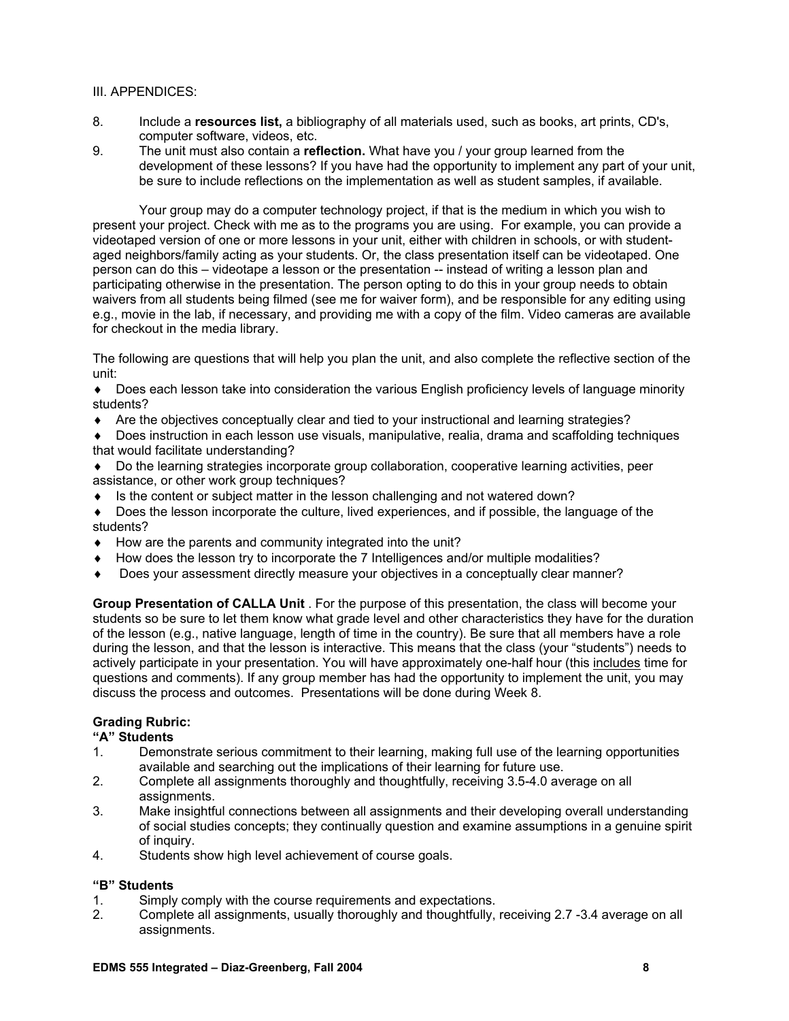### III. APPENDICES:

- 8. Include a **resources list,** a bibliography of all materials used, such as books, art prints, CD's, computer software, videos, etc.
- 9. The unit must also contain a **reflection.** What have you / your group learned from the development of these lessons? If you have had the opportunity to implement any part of your unit, be sure to include reflections on the implementation as well as student samples, if available.

 Your group may do a computer technology project, if that is the medium in which you wish to present your project. Check with me as to the programs you are using. For example, you can provide a videotaped version of one or more lessons in your unit, either with children in schools, or with studentaged neighbors/family acting as your students. Or, the class presentation itself can be videotaped. One person can do this – videotape a lesson or the presentation -- instead of writing a lesson plan and participating otherwise in the presentation. The person opting to do this in your group needs to obtain waivers from all students being filmed (see me for waiver form), and be responsible for any editing using e.g., movie in the lab, if necessary, and providing me with a copy of the film. Video cameras are available for checkout in the media library.

The following are questions that will help you plan the unit, and also complete the reflective section of the unit:

♦ Does each lesson take into consideration the various English proficiency levels of language minority students?

♦ Are the objectives conceptually clear and tied to your instructional and learning strategies?

♦ Does instruction in each lesson use visuals, manipulative, realia, drama and scaffolding techniques that would facilitate understanding?

- ♦ Do the learning strategies incorporate group collaboration, cooperative learning activities, peer assistance, or other work group techniques?
- ♦ Is the content or subject matter in the lesson challenging and not watered down?
- Does the lesson incorporate the culture, lived experiences, and if possible, the language of the students?
- ♦ How are the parents and community integrated into the unit?
- How does the lesson try to incorporate the 7 Intelligences and/or multiple modalities?
- Does your assessment directly measure your objectives in a conceptually clear manner?

**Group Presentation of CALLA Unit** . For the purpose of this presentation, the class will become your students so be sure to let them know what grade level and other characteristics they have for the duration of the lesson (e.g., native language, length of time in the country). Be sure that all members have a role during the lesson, and that the lesson is interactive. This means that the class (your "students") needs to actively participate in your presentation. You will have approximately one-half hour (this includes time for questions and comments). If any group member has had the opportunity to implement the unit, you may discuss the process and outcomes. Presentations will be done during Week 8.

# **Grading Rubric:**

### **"A" Students**

- 1. Demonstrate serious commitment to their learning, making full use of the learning opportunities available and searching out the implications of their learning for future use.
- 2. Complete all assignments thoroughly and thoughtfully, receiving 3.5-4.0 average on all assignments.
- 3. Make insightful connections between all assignments and their developing overall understanding of social studies concepts; they continually question and examine assumptions in a genuine spirit of inquiry.
- 4. Students show high level achievement of course goals.

### **"B" Students**

- 1. Simply comply with the course requirements and expectations.
- 2. Complete all assignments, usually thoroughly and thoughtfully, receiving 2.7 -3.4 average on all assignments.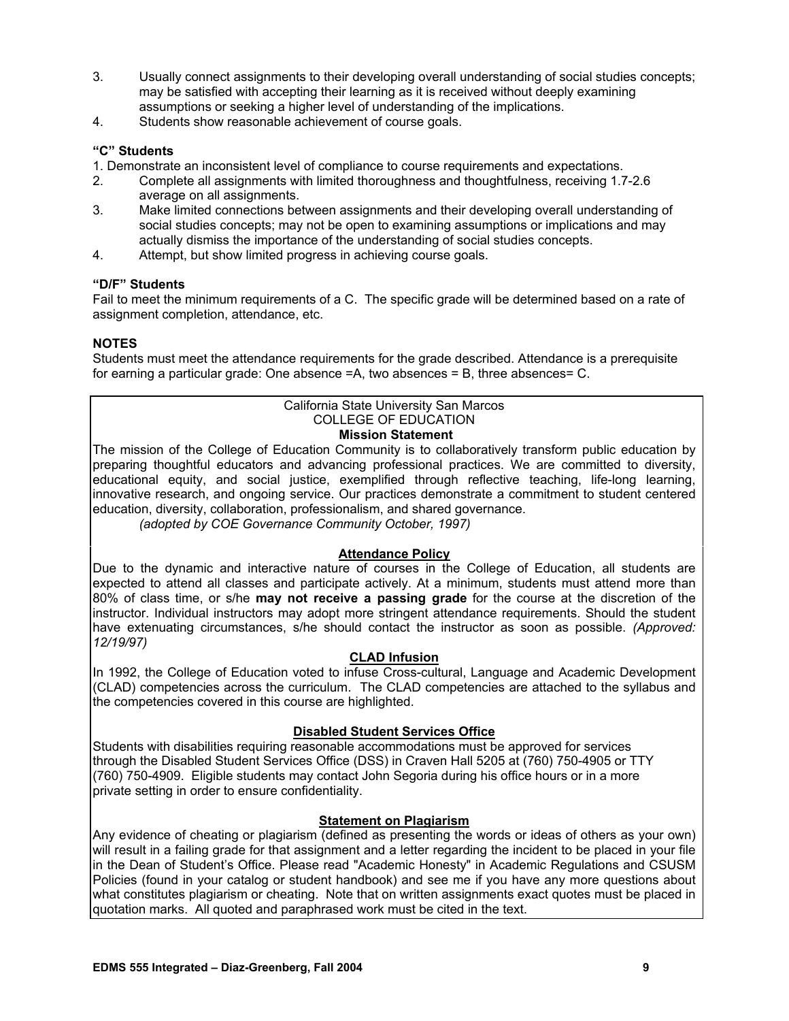- 3. Usually connect assignments to their developing overall understanding of social studies concepts; may be satisfied with accepting their learning as it is received without deeply examining assumptions or seeking a higher level of understanding of the implications.
- 4. Students show reasonable achievement of course goals.

### **"C" Students**

1. Demonstrate an inconsistent level of compliance to course requirements and expectations.

- 2. Complete all assignments with limited thoroughness and thoughtfulness, receiving 1.7-2.6 average on all assignments.
- 3. Make limited connections between assignments and their developing overall understanding of social studies concepts; may not be open to examining assumptions or implications and may actually dismiss the importance of the understanding of social studies concepts.
- 4. Attempt, but show limited progress in achieving course goals.

### **"D/F" Students**

Fail to meet the minimum requirements of a C. The specific grade will be determined based on a rate of assignment completion, attendance, etc.

### **NOTES**

Students must meet the attendance requirements for the grade described. Attendance is a prerequisite for earning a particular grade: One absence =A, two absences = B, three absences= C.

# California State University San Marcos COLLEGE OF EDUCATION

### **Mission Statement**

The mission of the College of Education Community is to collaboratively transform public education by preparing thoughtful educators and advancing professional practices. We are committed to diversity, educational equity, and social justice, exemplified through reflective teaching, life-long learning, innovative research, and ongoing service. Our practices demonstrate a commitment to student centered education, diversity, collaboration, professionalism, and shared governance.

*(adopted by COE Governance Community October, 1997)*

### **Attendance Policy**

Due to the dynamic and interactive nature of courses in the College of Education, all students are expected to attend all classes and participate actively. At a minimum, students must attend more than 80% of class time, or s/he **may not receive a passing grade** for the course at the discretion of the instructor. Individual instructors may adopt more stringent attendance requirements. Should the student have extenuating circumstances, s/he should contact the instructor as soon as possible. *(Approved: 12/19/97)* 

### **CLAD Infusion**

In 1992, the College of Education voted to infuse Cross-cultural, Language and Academic Development (CLAD) competencies across the curriculum. The CLAD competencies are attached to the syllabus and the competencies covered in this course are highlighted.

### **Disabled Student Services Office**

Students with disabilities requiring reasonable accommodations must be approved for services through the Disabled Student Services Office (DSS) in Craven Hall 5205 at (760) 750-4905 or TTY (760) 750-4909. Eligible students may contact John Segoria during his office hours or in a more private setting in order to ensure confidentiality.

### **Statement on Plagiarism**

Any evidence of cheating or plagiarism (defined as presenting the words or ideas of others as your own) will result in a failing grade for that assignment and a letter regarding the incident to be placed in your file in the Dean of Student's Office. Please read "Academic Honesty" in Academic Regulations and CSUSM Policies (found in your catalog or student handbook) and see me if you have any more questions about what constitutes plagiarism or cheating. Note that on written assignments exact quotes must be placed in quotation marks. All quoted and paraphrased work must be cited in the text.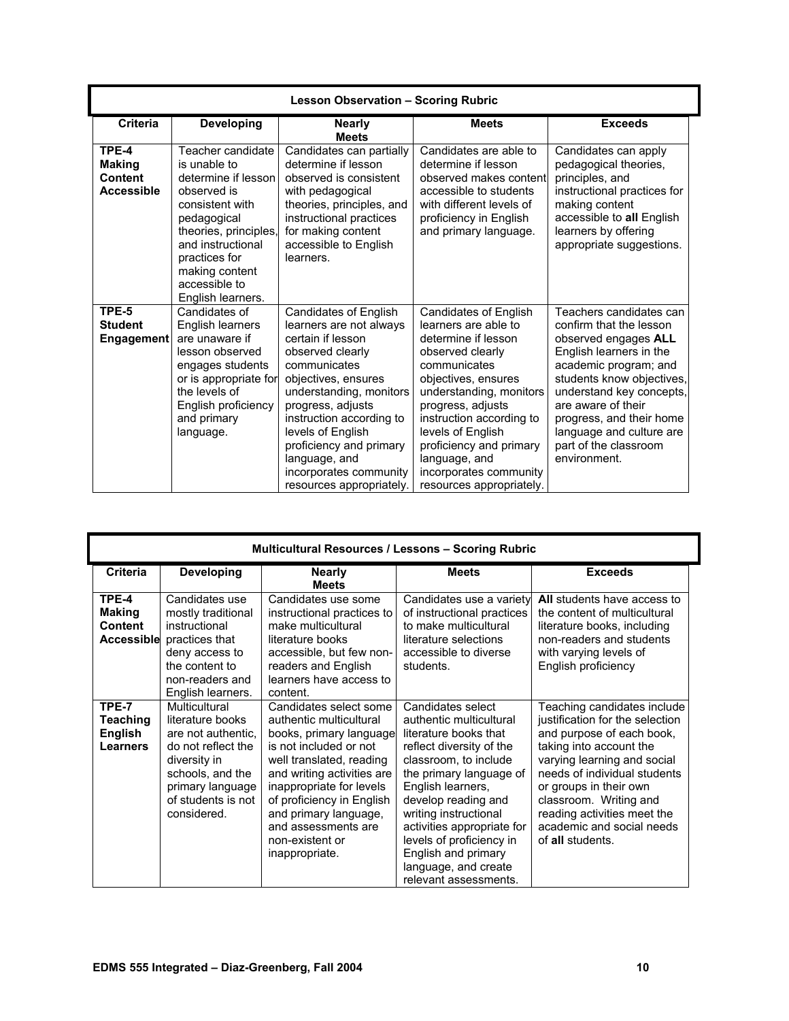| <b>Lesson Observation - Scoring Rubric</b>             |                                                                                                                                                                                                                                  |                                                                                                                                                                                                                                                                                                                                     |                                                                                                                                                                                                                                                                                                                                           |                                                                                                                                                                                                                                                                                                                |
|--------------------------------------------------------|----------------------------------------------------------------------------------------------------------------------------------------------------------------------------------------------------------------------------------|-------------------------------------------------------------------------------------------------------------------------------------------------------------------------------------------------------------------------------------------------------------------------------------------------------------------------------------|-------------------------------------------------------------------------------------------------------------------------------------------------------------------------------------------------------------------------------------------------------------------------------------------------------------------------------------------|----------------------------------------------------------------------------------------------------------------------------------------------------------------------------------------------------------------------------------------------------------------------------------------------------------------|
| <b>Criteria</b>                                        | <b>Developing</b>                                                                                                                                                                                                                | <b>Nearly</b><br><b>Meets</b>                                                                                                                                                                                                                                                                                                       | <b>Meets</b>                                                                                                                                                                                                                                                                                                                              | <b>Exceeds</b>                                                                                                                                                                                                                                                                                                 |
| TPE-4<br><b>Making</b><br>Content<br><b>Accessible</b> | Teacher candidate<br>is unable to<br>determine if lesson<br>observed is<br>consistent with<br>pedagogical<br>theories, principles,<br>and instructional<br>practices for<br>making content<br>accessible to<br>English learners. | Candidates can partially<br>determine if lesson<br>observed is consistent<br>with pedagogical<br>theories, principles, and<br>instructional practices<br>for making content<br>accessible to English<br>learners.                                                                                                                   | Candidates are able to<br>determine if lesson<br>observed makes content<br>accessible to students<br>with different levels of<br>proficiency in English<br>and primary language.                                                                                                                                                          | Candidates can apply<br>pedagogical theories,<br>principles, and<br>instructional practices for<br>making content<br>accessible to all English<br>learners by offering<br>appropriate suggestions.                                                                                                             |
| TPE-5<br><b>Student</b><br><b>Engagement</b>           | Candidates of<br>English learners<br>are unaware if<br>lesson observed<br>engages students<br>or is appropriate for<br>the levels of<br>English proficiency<br>and primary<br>language.                                          | Candidates of English<br>learners are not always<br>certain if lesson<br>observed clearly<br>communicates<br>objectives, ensures<br>understanding, monitors<br>progress, adjusts<br>instruction according to<br>levels of English<br>proficiency and primary<br>language, and<br>incorporates community<br>resources appropriately. | <b>Candidates of English</b><br>learners are able to<br>determine if lesson<br>observed clearly<br>communicates<br>objectives, ensures<br>understanding, monitors<br>progress, adjusts<br>instruction according to<br>levels of English<br>proficiency and primary<br>language, and<br>incorporates community<br>resources appropriately. | Teachers candidates can<br>confirm that the lesson<br>observed engages ALL<br>English learners in the<br>academic program; and<br>students know objectives,<br>understand key concepts,<br>are aware of their<br>progress, and their home<br>language and culture are<br>part of the classroom<br>environment. |

|                                                        |                                                                                                                                                                            | <b>Multicultural Resources / Lessons - Scoring Rubric</b>                                                                                                                                                                                                                                                      |                                                                                                                                                                                                                                                                                                                                                              |                                                                                                                                                                                                                                                                                                                           |
|--------------------------------------------------------|----------------------------------------------------------------------------------------------------------------------------------------------------------------------------|----------------------------------------------------------------------------------------------------------------------------------------------------------------------------------------------------------------------------------------------------------------------------------------------------------------|--------------------------------------------------------------------------------------------------------------------------------------------------------------------------------------------------------------------------------------------------------------------------------------------------------------------------------------------------------------|---------------------------------------------------------------------------------------------------------------------------------------------------------------------------------------------------------------------------------------------------------------------------------------------------------------------------|
| <b>Criteria</b>                                        | <b>Developing</b>                                                                                                                                                          | <b>Nearly</b><br><b>Meets</b>                                                                                                                                                                                                                                                                                  | <b>Meets</b>                                                                                                                                                                                                                                                                                                                                                 | <b>Exceeds</b>                                                                                                                                                                                                                                                                                                            |
| TPE-4<br><b>Making</b><br>Content<br><b>Accessible</b> | Candidates use<br>mostly traditional<br>instructional<br>practices that<br>deny access to<br>the content to<br>non-readers and<br>English learners.                        | Candidates use some<br>instructional practices to<br>make multicultural<br>literature books<br>accessible, but few non-<br>readers and English<br>learners have access to<br>content.                                                                                                                          | Candidates use a variety<br>of instructional practices<br>to make multicultural<br>literature selections<br>accessible to diverse<br>students.                                                                                                                                                                                                               | All students have access to<br>the content of multicultural<br>literature books, including<br>non-readers and students<br>with varying levels of<br>English proficiency                                                                                                                                                   |
| TPE-7<br><b>Teaching</b><br><b>English</b><br>Learners | Multicultural<br>literature books<br>are not authentic.<br>do not reflect the<br>diversity in<br>schools, and the<br>primary language<br>of students is not<br>considered. | Candidates select some<br>authentic multicultural<br>books, primary language<br>is not included or not<br>well translated, reading<br>and writing activities are<br>inappropriate for levels<br>of proficiency in English<br>and primary language,<br>and assessments are<br>non-existent or<br>inappropriate. | Candidates select<br>authentic multicultural<br>literature books that<br>reflect diversity of the<br>classroom, to include<br>the primary language of<br>English learners,<br>develop reading and<br>writing instructional<br>activities appropriate for<br>levels of proficiency in<br>English and primary<br>language, and create<br>relevant assessments. | Teaching candidates include<br>justification for the selection<br>and purpose of each book,<br>taking into account the<br>varying learning and social<br>needs of individual students<br>or groups in their own<br>classroom. Writing and<br>reading activities meet the<br>academic and social needs<br>of all students. |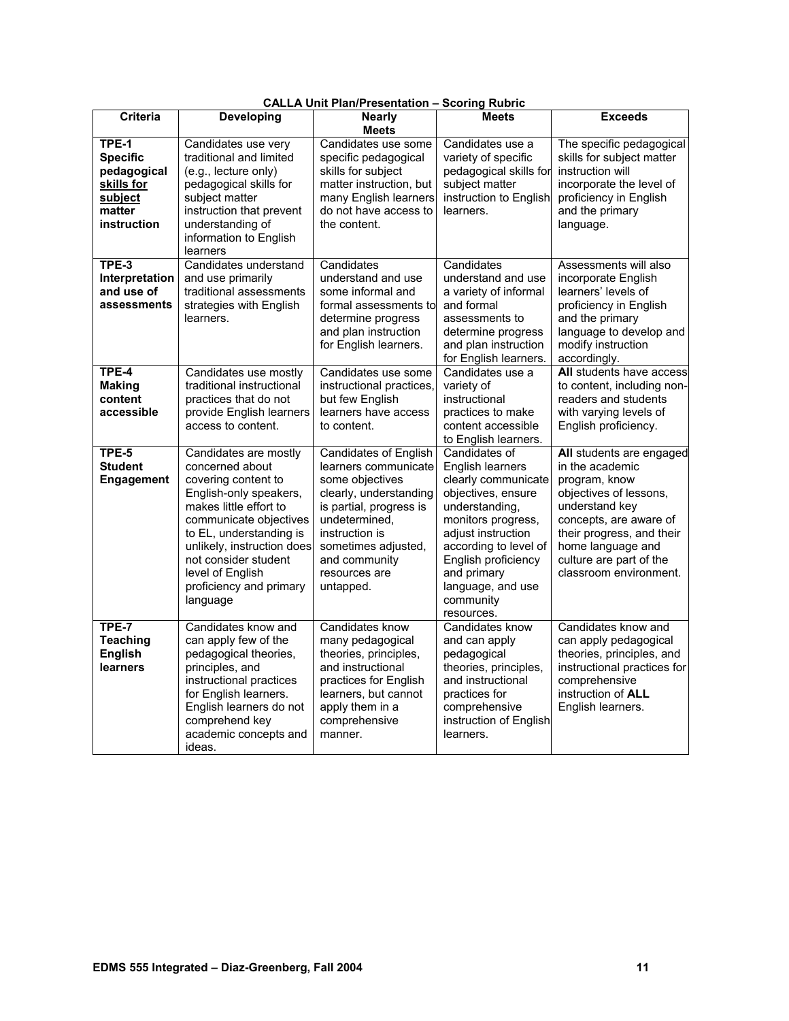| Criteria                                               | <b>Developing</b>                                                                                                                                                                                                                                                                         | CALLA UNII Plan/Plesentation – Scoring Rubric                                                                                                                                                                                         | <b>Meets</b>                                                                                                                                                                                                                                                | <b>Exceeds</b>                                                                                                                                                                                                                            |
|--------------------------------------------------------|-------------------------------------------------------------------------------------------------------------------------------------------------------------------------------------------------------------------------------------------------------------------------------------------|---------------------------------------------------------------------------------------------------------------------------------------------------------------------------------------------------------------------------------------|-------------------------------------------------------------------------------------------------------------------------------------------------------------------------------------------------------------------------------------------------------------|-------------------------------------------------------------------------------------------------------------------------------------------------------------------------------------------------------------------------------------------|
|                                                        |                                                                                                                                                                                                                                                                                           | <b>Nearly</b><br><b>Meets</b>                                                                                                                                                                                                         |                                                                                                                                                                                                                                                             |                                                                                                                                                                                                                                           |
| TPE-1<br><b>Specific</b><br>pedagogical<br>skills for  | Candidates use very<br>traditional and limited<br>(e.g., lecture only)<br>pedagogical skills for                                                                                                                                                                                          | Candidates use some<br>specific pedagogical<br>skills for subject<br>matter instruction, but                                                                                                                                          | Candidates use a<br>variety of specific<br>pedagogical skills for<br>subject matter                                                                                                                                                                         | The specific pedagogical<br>skills for subject matter<br>instruction will<br>incorporate the level of                                                                                                                                     |
| subject<br>matter<br>instruction                       | subject matter<br>instruction that prevent<br>understanding of<br>information to English<br>learners                                                                                                                                                                                      | many English learners<br>do not have access to<br>the content.                                                                                                                                                                        | instruction to English<br>learners.                                                                                                                                                                                                                         | proficiency in English<br>and the primary<br>language.                                                                                                                                                                                    |
| TPE-3<br>Interpretation<br>and use of<br>assessments   | Candidates understand<br>and use primarily<br>traditional assessments<br>strategies with English<br>learners.                                                                                                                                                                             | Candidates<br>understand and use<br>some informal and<br>formal assessments to<br>determine progress<br>and plan instruction<br>for English learners.                                                                                 | Candidates<br>understand and use<br>a variety of informal<br>and formal<br>assessments to<br>determine progress<br>and plan instruction<br>for English learners.                                                                                            | Assessments will also<br>incorporate English<br>learners' levels of<br>proficiency in English<br>and the primary<br>language to develop and<br>modify instruction<br>accordingly.                                                         |
| TPE-4<br><b>Making</b><br>content<br>accessible        | Candidates use mostly<br>traditional instructional<br>practices that do not<br>provide English learners<br>access to content.                                                                                                                                                             | Candidates use some<br>instructional practices,<br>but few English<br>learners have access<br>to content.                                                                                                                             | Candidates use a<br>variety of<br>instructional<br>practices to make<br>content accessible<br>to English learners.                                                                                                                                          | All students have access<br>to content, including non-<br>readers and students<br>with varying levels of<br>English proficiency.                                                                                                          |
| TPE-5<br><b>Student</b><br>Engagement                  | Candidates are mostly<br>concerned about<br>covering content to<br>English-only speakers,<br>makes little effort to<br>communicate objectives<br>to EL, understanding is<br>unlikely, instruction does<br>not consider student<br>level of English<br>proficiency and primary<br>language | <b>Candidates of English</b><br>learners communicate<br>some objectives<br>clearly, understanding<br>is partial, progress is<br>undetermined.<br>instruction is<br>sometimes adjusted,<br>and community<br>resources are<br>untapped. | Candidates of<br>English learners<br>clearly communicate<br>objectives, ensure<br>understanding,<br>monitors progress,<br>adjust instruction<br>according to level of<br>English proficiency<br>and primary<br>language, and use<br>community<br>resources. | All students are engaged<br>in the academic<br>program, know<br>objectives of lessons,<br>understand key<br>concepts, are aware of<br>their progress, and their<br>home language and<br>culture are part of the<br>classroom environment. |
| TPE-7<br><b>Teaching</b><br><b>English</b><br>learners | Candidates know and<br>can apply few of the<br>pedagogical theories,<br>principles, and<br>instructional practices<br>for English learners.<br>English learners do not<br>comprehend key<br>academic concepts and<br>ideas.                                                               | Candidates know<br>many pedagogical<br>theories, principles,<br>and instructional<br>practices for English<br>learners, but cannot<br>apply them in a<br>comprehensive<br>manner.                                                     | Candidates know<br>and can apply<br>pedagogical<br>theories, principles,<br>and instructional<br>practices for<br>comprehensive<br>instruction of English<br>learners.                                                                                      | Candidates know and<br>can apply pedagogical<br>theories, principles, and<br>instructional practices for<br>comprehensive<br>instruction of <b>ALL</b><br>English learners.                                                               |

| <b>CALLA Unit Plan/Presentation - Scoring Rubric</b> |  |  |
|------------------------------------------------------|--|--|
|------------------------------------------------------|--|--|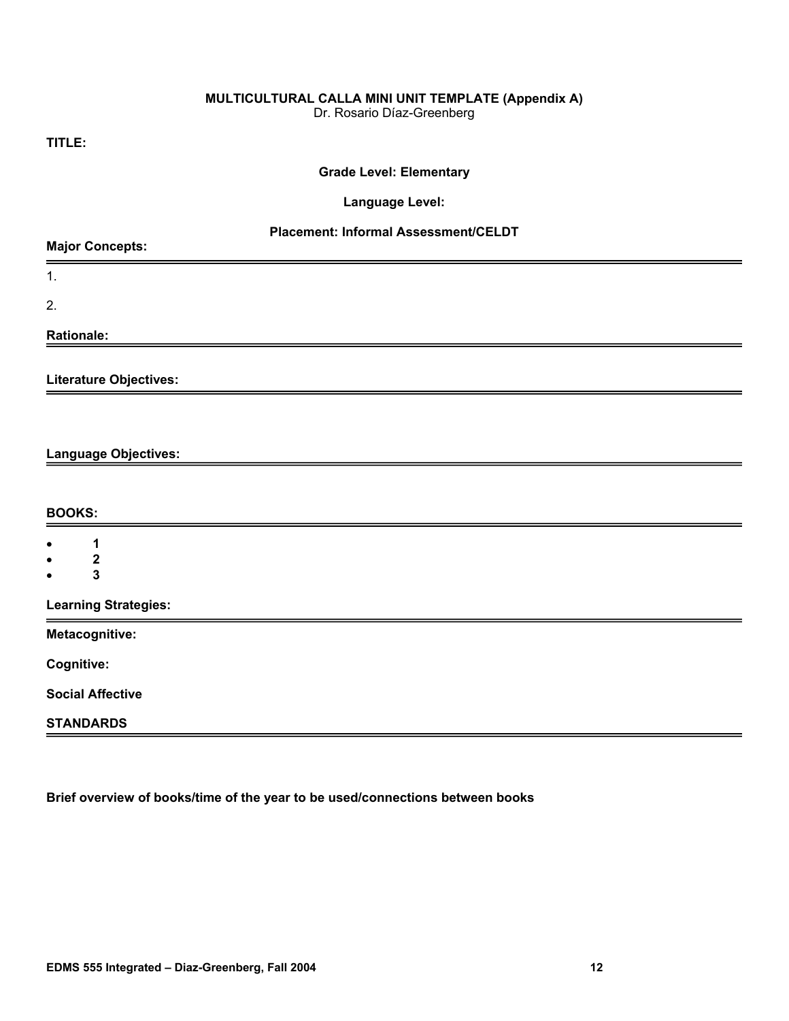# **MULTICULTURAL CALLA MINI UNIT TEMPLATE (Appendix A)**

Dr. Rosario Díaz-Greenberg

**TITLE:** 

# **Grade Level: Elementary**

### **Language Level:**

# **Placement: Informal Assessment/CELDT**

| <b>Major Concepts:</b>                                     |  |  |
|------------------------------------------------------------|--|--|
| 1.                                                         |  |  |
| 2.                                                         |  |  |
| <b>Rationale:</b>                                          |  |  |
| <b>Literature Objectives:</b>                              |  |  |
|                                                            |  |  |
| <b>Language Objectives:</b>                                |  |  |
|                                                            |  |  |
| <b>BOOKS:</b>                                              |  |  |
| 1<br>$\bullet$                                             |  |  |
| $\boldsymbol{2}$<br>$\bullet$<br>$\mathbf{3}$<br>$\bullet$ |  |  |
| <b>Learning Strategies:</b>                                |  |  |
| Metacognitive:                                             |  |  |
| Cognitive:                                                 |  |  |
| <b>Social Affective</b>                                    |  |  |
| <b>STANDARDS</b>                                           |  |  |

**Brief overview of books/time of the year to be used/connections between books**